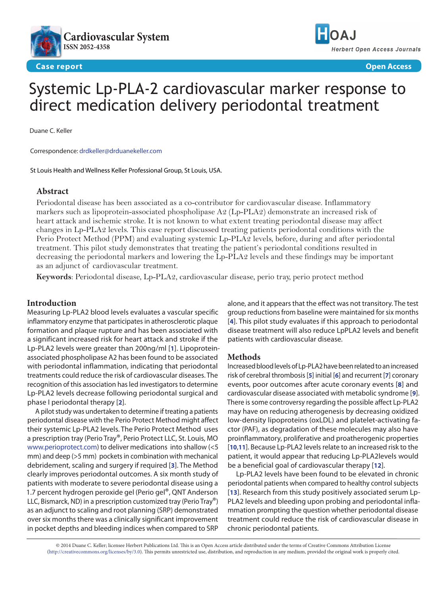



**Case report Open Access**

# Systemic Lp-PLA-2 cardiovascular marker response to direct medication delivery periodontal treatment

Duane C. Keller

Correspondence: [drdkeller@drduanekeller.com](mailto:drdkeller%40drduanekeller.com?subject=)

St Louis Health and Wellness Keller Professional Group, St Louis, USA.

### **Abstract**

Periodontal disease has been associated as a co-contributor for cardiovascular disease. Inflammatory markers such as lipoprotein-associated phospholipase A2 (Lp-PLA2) demonstrate an increased risk of heart attack and ischemic stroke. It is not known to what extent treating periodontal disease may affect changes in Lp-PLA2 levels. This case report discussed treating patients periodontal conditions with the Perio Protect Method (PPM) and evaluating systemic Lp-PLA2 levels, before, during and after periodontal treatment. This pilot study demonstrates that treating the patient's periodontal conditions resulted in decreasing the periodontal markers and lowering the Lp-PLA2 levels and these findings may be important as an adjunct of cardiovascular treatment.

**Keywords**: Periodontal disease, Lp-PLA2, cardiovascular disease, perio tray, perio protect method

# **Introduction**

Measuring Lp-PLA2 blood levels evaluates a vascular specific inflammatory enzyme that participates in atherosclerotic plaque formation and plaque rupture and has been associated with a significant increased risk for heart attack and stroke if the Lp-PLA2 levels were greater than 200ng/ml [**[1](#page-2-0)**]. Lipoproteinassociated phospholipase A2 has been found to be associated with periodontal inflammation, indicating that periodontal treatments could reduce the risk of cardiovascular diseases. The recognition of this association has led investigators to determine Lp-PLA2 levels decrease following periodontal surgical and phase I periodontal therapy [**[2](#page-2-1)**].

A pilot study was undertaken to determine if treating a patients periodontal disease with the Perio Protect Method might affect their systemic Lp-PLA2 levels. The Perio Protect Method uses a prescription tray (Perio Tray®, Perio Protect LLC, St. Louis, MO <www.perioprotect.com>) to deliver medications into shallow (<5 mm) and deep (>5 mm) pockets in combination with mechanical debridement, scaling and surgery if required [**[3](#page-3-0)**]. The Method clearly improves periodontal outcomes. A six month study of patients with moderate to severe periodontal disease using a 1.7 percent hydrogen peroxide gel (Perio gel®, QNT Anderson LLC, Bismarck, ND) in a prescription customized tray (Perio Tray®) as an adjunct to scaling and root planning (SRP) demonstrated over six months there was a clinically significant improvement in pocket depths and bleeding indices when compared to SRP

alone, and it appears that the effect was not transitory. The test group reductions from baseline were maintained for six months [**[4](#page-3-1)**]. This pilot study evaluates if this approach to periodontal disease treatment will also reduce LpPLA2 levels and benefit patients with cardiovascular disease.

#### **Methods**

Increased blood levels of Lp-PLA2 have been related to an increased risk of cerebral thrombosis [**[5](#page-3-2)**] initial [**[6](#page-3-3)**] and recurrent [**[7](#page-3-4)**] coronary events, poor outcomes after acute coronary events [**[8](#page-3-5)**] and cardiovascular disease associated with metabolic syndrome [**[9](#page-3-6)**]. There is some controversy regarding the possible affect Lp-PLA2 may have on reducing atherogenesis by decreasing oxidized low-density lipoproteins (oxLDL) and platelet-activating factor (PAF), as degradation of these molecules may also have proinflammatory, proliferative and proatherogenic properties [**[10](#page-3-7)**,**[11](#page-3-8)**]. Because Lp-PLA2 levels relate to an increased risk to the patient, it would appear that reducing Lp-PLA2levels would be a beneficial goal of cardiovascular therapy [**[12](#page-3-9)**].

Lp-PLA2 levels have been found to be elevated in chronic periodontal patients when compared to healthy control subjects [**[13](#page-3-10)**]. Research from this study positively associated serum Lp-PLA2 levels and bleeding upon probing and periodontal inflammation prompting the question whether periodontal disease treatment could reduce the risk of cardiovascular disease in chronic periodontal patients.

© 2014 Duane C. Keller; licensee Herbert Publications Ltd. This is an Open Access article distributed under the terms of Creative Commons Attribution License [\(http://creativecommons.org/licenses/by/3.0\)](http://creativecommons.org/licenses/by/3.0). This permits unrestricted use, distribution, and reproduction in any medium, provided the original work is properly cited.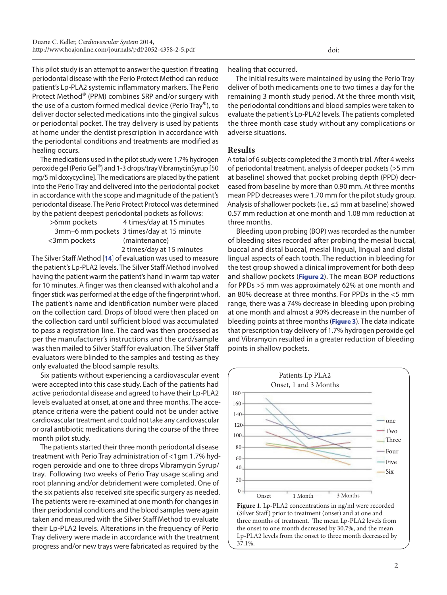<span id="page-1-0"></span>This pilot study is an attempt to answer the question if treating periodontal disease with the Perio Protect Method can reduce patient's Lp-PLA2 systemic inflammatory markers. The Perio Protect Method® (PPM) combines SRP and/or surgery with the use of a custom formed medical device (Perio Tray®), to deliver doctor selected medications into the gingival sulcus or periodontal pocket. The tray delivery is used by patients at home under the dentist prescription in accordance with the periodontal conditions and treatments are modified as healing occurs.

The medications used in the pilot study were 1.7% hydrogen peroxide gel (Perio Gel®) and 1-3 drops/tray VibramycinSyrup [50 mg/5 ml doxycycline]. The medications are placed by the patient into the Perio Tray and delivered into the periodontal pocket in accordance with the scope and magnitude of the patient's periodontal disease. The Perio Protect Protocol was determined by the patient deepest periodontal pockets as follows:

| >6mm pockets | 4 times/day at 15 minutes                 |
|--------------|-------------------------------------------|
|              | 3mm-6 mm pockets 3 times/day at 15 minute |
| <3mm pockets | (maintenance)                             |
|              |                                           |

2 times/day at 15 minutes

The Silver Staff Method [**[14](#page-3-11)**] of evaluation was used to measure the patient's Lp-PLA2 levels. The Silver Staff Method involved having the patient warm the patient's hand in warm tap water for 10 minutes. A finger was then cleansed with alcohol and a finger stick was performed at the edge of the fingerprint whorl. The patient's name and identification number were placed on the collection card. Drops of blood were then placed on the collection card until sufficient blood was accumulated to pass a registration line. The card was then processed as per the manufacturer's instructions and the card/sample was then mailed to Silver Staff for evaluation. The Silver Staff evaluators were blinded to the samples and testing as they only evaluated the blood sample results.

Six patients without experiencing a cardiovascular event were accepted into this case study. Each of the patients had active periodontal disease and agreed to have their Lp-PLA2 levels evaluated at onset, at one and three months. The acceptance criteria were the patient could not be under active cardiovascular treatment and could not take any cardiovascular or oral antibiotic medications during the course of the three month pilot study.

The patients started their three month periodontal disease treatment with Perio Tray administration of <1gm 1.7% hydrogen peroxide and one to three drops Vibramycin Syrup/ tray. Following two weeks of Perio Tray usage scaling and root planning and/or debridement were completed. One of the six patients also received site specific surgery as needed. The patients were re-examined at one month for changes in their periodontal conditions and the blood samples were again taken and measured with the Silver Staff Method to evaluate their Lp-PLA2 levels. Alterations in the frequency of Perio Tray delivery were made in accordance with the treatment progress and/or new trays were fabricated as required by the

healing that occurred.

The initial results were maintained by using the Perio Tray deliver of both medicaments one to two times a day for the remaining 3 month study period. At the three month visit, the periodontal conditions and blood samples were taken to evaluate the patient's Lp-PLA2 levels. The patients completed the three month case study without any complications or adverse situations.

#### **Results**

A total of 6 subjects completed the 3 month trial. After 4 weeks of periodontal treatment, analysis of deeper pockets (>5 mm at baseline) showed that pocket probing depth (PPD) decreased from baseline by more than 0.90 mm. At three months mean PPD decreases were 1.70 mm for the pilot study group. Analysis of shallower pockets (i.e., ≤5 mm at baseline) showed 0.57 mm reduction at one month and 1.08 mm reduction at three months.

Bleeding upon probing (BOP) was recorded as the number of bleeding sites recorded after probing the mesial buccal, buccal and distal buccal, mesial lingual, lingual and distal lingual aspects of each tooth. The reduction in bleeding for the test group showed a clinical improvement for both deep and shallow pockets (**[Figure 2](#page-2-2)**). The mean BOP reductions for PPDs >5 mm was approximately 62% at one month and an 80% decrease at three months. For PPDs in the <5 mm range, there was a 74% decrease in bleeding upon probing at one month and almost a 90% decrease in the number of bleeding points at three months (**[Figure 3](#page-2-2)**). The data indicate that prescription tray delivery of 1.7% hydrogen peroxide gel and Vibramycin resulted in a greater reduction of bleeding points in shallow pockets.



(Silver Staff) prior to treatment (onset) and at one and three months of treatment. The mean Lp-PLA2 levels from the onset to one month decreased by 30.7%, and the mean Lp-PLA2 levels from the onset to three month decreased by 37.1%.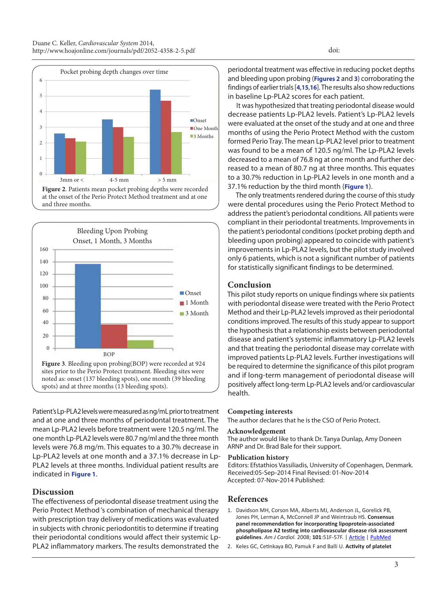<span id="page-2-2"></span>

at the onset of the Perio Protect Method treatment and at one and three months.



Patient's Lp-PLA2 levels were measured as ng/mL prior to treatment and at one and three months of periodontal treatment. The mean Lp-PLA2 levels before treatment were 120.5 ng/ml. The one month Lp-PLA2 levels were 80.7 ng/ml and the three month levels were 76.8 mg/m. This equates to a 30.7% decrease in Lp-PLA2 levels at one month and a 37.1% decrease in Lp-PLA2 levels at three months. Individual patient results are indicated in **[Figure 1](#page-1-0)**.

# **Discussion**

The effectiveness of periodontal disease treatment using the Perio Protect Method 's combination of mechanical therapy with prescription tray delivery of medications was evaluated in subjects with chronic periodontitis to determine if treating their periodontal conditions would affect their systemic Lp-PLA2 inflammatory markers. The results demonstrated the

periodontal treatment was effective in reducing pocket depths and bleeding upon probing (**Figures 2** and **3**) corroborating the findings of earlier trials [**[4](#page-3-1)**,**[15](#page-3-12)**,**[16](#page-3-13)**]. The results also show reductions in baseline Lp-PLA2 scores for each patient.

It was hypothesized that treating periodontal disease would decrease patients Lp-PLA2 levels. Patient's Lp-PLA2 levels were evaluated at the onset of the study and at one and three months of using the Perio Protect Method with the custom formed Perio Tray. The mean Lp-PLA2 level prior to treatment was found to be a mean of 120.5 ng/ml. The Lp-PLA2 levels decreased to a mean of 76.8 ng at one month and further decreased to a mean of 80.7 ng at three months. This equates to a 30.7% reduction in Lp-PLA2 levels in one month and a 37.1% reduction by the third month (**[Figure 1](#page-1-0)**).

The only treatments rendered during the course of this study were dental procedures using the Perio Protect Method to address the patient's periodontal conditions. All patients were compliant in their periodontal treatments. Improvements in the patient's periodontal conditions (pocket probing depth and bleeding upon probing) appeared to coincide with patient's improvements in Lp-PLA2 levels, but the pilot study involved only 6 patients, which is not a significant number of patients for statistically significant findings to be determined.

# **Conclusion**

This pilot study reports on unique findings where six patients with periodontal disease were treated with the Perio Protect Method and their Lp-PLA2 levels improved as their periodontal conditions improved. The results of this study appear to support the hypothesis that a relationship exists between periodontal disease and patient's systemic inflammatory Lp-PLA2 levels and that treating the periodontal disease may correlate with improved patients Lp-PLA2 levels. Further investigations will be required to determine the significance of this pilot program and if long-term management of periodontal disease will positively affect long-term Lp-PLA2 levels and/or cardiovascular health.

#### **Competing interests**

The author declares that he is the CSO of Perio Protect.

#### **Acknowledgement**

The author would like to thank Dr. Tanya Dunlap, Amy Doneen ARNP and Dr. Brad Bale for their support.

#### **Publication history**

Editors: Efstathios Vassiliadis, University of Copenhagen, Denmark. Received:05-Sep-2014 Final Revised: 01-Nov-2014 Accepted: 07-Nov-2014 Published:

# **References**

- <span id="page-2-0"></span>1. Davidson MH, Corson MA, Alberts MJ, Anderson JL, Gorelick PB, Jones PH, Lerman A, McConnell JP and Weintraub HS. **Consensus panel recommendation for incorporating lipoprotein-associated phospholipase A2 testing into cardiovascular disease risk assessment guidelines**. *Am J Cardiol.* 2008; **101**:51F-57F. | [Article](http://dx.doi.org/10.1016/j.amjcard.2008.04.019) | [PubMed](http://www.ncbi.nlm.nih.gov/pubmed/18549872?dopt=Citation)
- <span id="page-2-1"></span>2. Keles GC, Cetinkaya BO, Pamuk F and Balli U. **Activity of platelet**

doi: